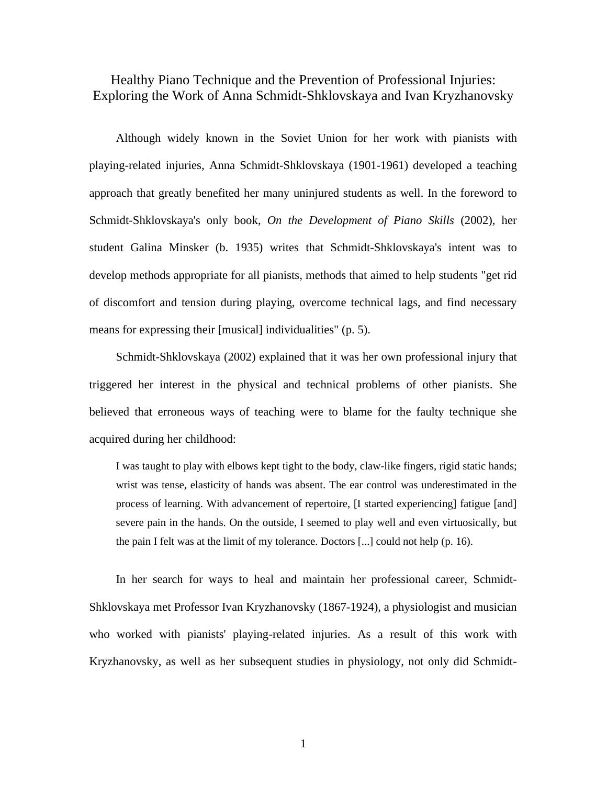Healthy Piano Technique and the Prevention of Professional Injuries: Exploring the Work of Anna Schmidt-Shklovskaya and Ivan Kryzhanovsky

Although widely known in the Soviet Union for her work with pianists with playing-related injuries, Anna Schmidt-Shklovskaya (1901-1961) developed a teaching approach that greatly benefited her many uninjured students as well. In the foreword to Schmidt-Shklovskaya's only book, *On the Development of Piano Skills* (2002)*,* her student Galina Minsker (b. 1935) writes that Schmidt-Shklovskaya's intent was to develop methods appropriate for all pianists, methods that aimed to help students "get rid of discomfort and tension during playing, overcome technical lags, and find necessary means for expressing their [musical] individualities" (p. 5).

Schmidt-Shklovskaya (2002) explained that it was her own professional injury that triggered her interest in the physical and technical problems of other pianists. She believed that erroneous ways of teaching were to blame for the faulty technique she acquired during her childhood:

I was taught to play with elbows kept tight to the body, claw-like fingers, rigid static hands; wrist was tense, elasticity of hands was absent. The ear control was underestimated in the process of learning. With advancement of repertoire, [I started experiencing] fatigue [and] severe pain in the hands. On the outside, I seemed to play well and even virtuosically, but the pain I felt was at the limit of my tolerance. Doctors [...] could not help (p. 16).

In her search for ways to heal and maintain her professional career, Schmidt-Shklovskaya met Professor Ivan Kryzhanovsky (1867-1924), a physiologist and musician who worked with pianists' playing-related injuries. As a result of this work with Kryzhanovsky, as well as her subsequent studies in physiology, not only did Schmidt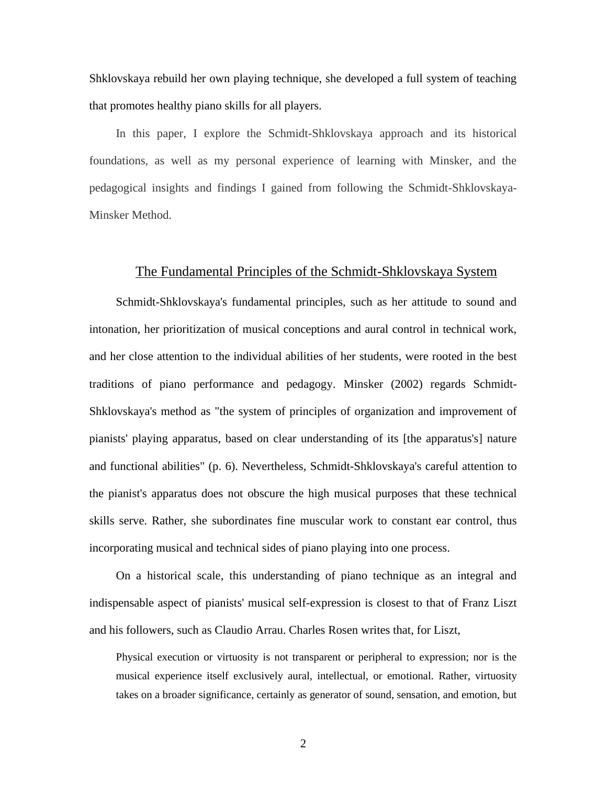Shklovskaya rebuild her own playing technique, she developed a full system of teaching that promotes healthy piano skills for all players.

In this paper, I explore the Schmidt-Shklovskaya approach and its historical foundations, as well as my personal experience of learning with Minsker, and the pedagogical insights and findings I gained from following the Schmidt-Shklovskaya-Minsker Method.

# The Fundamental Principles of the Schmidt-Shklovskaya System

Schmidt-Shklovskaya's fundamental principles, such as her attitude to sound and intonation, her prioritization of musical conceptions and aural control in technical work, and her close attention to the individual abilities of her students, were rooted in the best traditions of piano performance and pedagogy. Minsker (2002) regards Schmidt-Shklovskaya's method as "the system of principles of organization and improvement of pianists' playing apparatus, based on clear understanding of its [the apparatus's] nature and functional abilities" (p. 6). Nevertheless, Schmidt-Shklovskaya's careful attention to the pianist's apparatus does not obscure the high musical purposes that these technical skills serve. Rather, she subordinates fine muscular work to constant ear control, thus incorporating musical and technical sides of piano playing into one process.

On a historical scale, this understanding of piano technique as an integral and indispensable aspect of pianists' musical self-expression is closest to that of Franz Liszt and his followers, such as Claudio Arrau. Charles Rosen writes that, for Liszt,

Physical execution or virtuosity is not transparent or peripheral to expression; nor is the musical experience itself exclusively aural, intellectual, or emotional. Rather, virtuosity takes on a broader significance, certainly as generator of sound, sensation, and emotion, but

2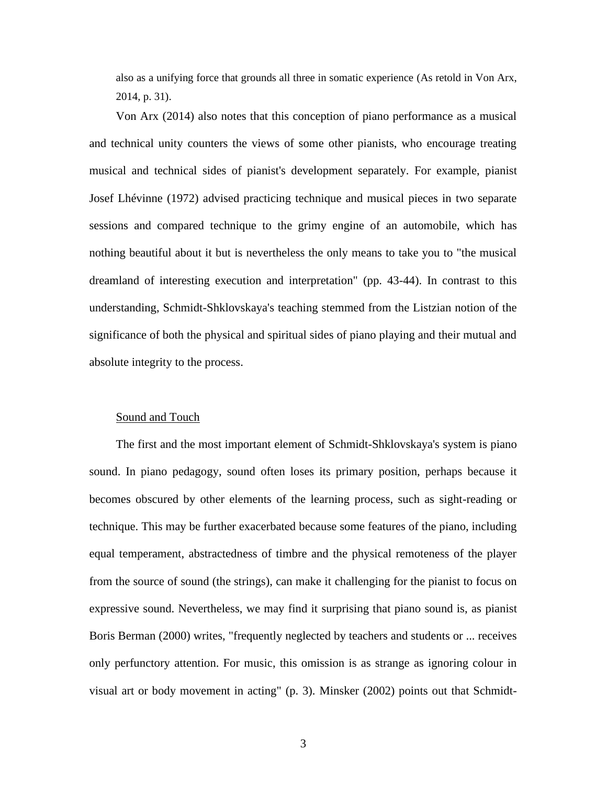also as a unifying force that grounds all three in somatic experience (As retold in Von Arx, 2014, p. 31).

Von Arx (2014) also notes that this conception of piano performance as a musical and technical unity counters the views of some other pianists, who encourage treating musical and technical sides of pianist's development separately. For example, pianist Josef Lhévinne (1972) advised practicing technique and musical pieces in two separate sessions and compared technique to the grimy engine of an automobile, which has nothing beautiful about it but is nevertheless the only means to take you to "the musical dreamland of interesting execution and interpretation" (pp. 43-44). In contrast to this understanding, Schmidt-Shklovskaya's teaching stemmed from the Listzian notion of the significance of both the physical and spiritual sides of piano playing and their mutual and absolute integrity to the process.

#### Sound and Touch

The first and the most important element of Schmidt-Shklovskaya's system is piano sound. In piano pedagogy, sound often loses its primary position, perhaps because it becomes obscured by other elements of the learning process, such as sight-reading or technique. This may be further exacerbated because some features of the piano, including equal temperament, abstractedness of timbre and the physical remoteness of the player from the source of sound (the strings), can make it challenging for the pianist to focus on expressive sound. Nevertheless, we may find it surprising that piano sound is, as pianist Boris Berman (2000) writes, "frequently neglected by teachers and students or ... receives only perfunctory attention. For music, this omission is as strange as ignoring colour in visual art or body movement in acting" (p. 3). Minsker (2002) points out that Schmidt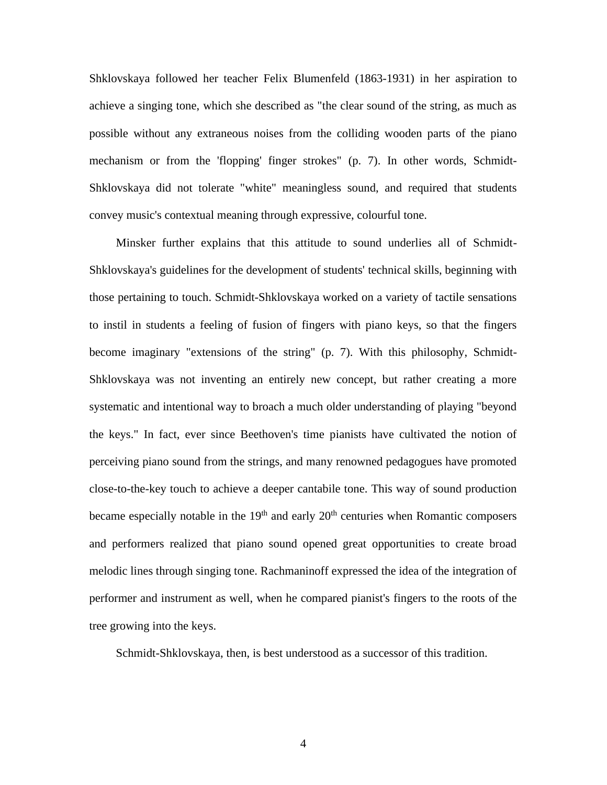Shklovskaya followed her teacher Felix Blumenfeld (1863-1931) in her aspiration to achieve a singing tone, which she described as "the clear sound of the string, as much as possible without any extraneous noises from the colliding wooden parts of the piano mechanism or from the 'flopping' finger strokes" (p. 7). In other words, Schmidt-Shklovskaya did not tolerate "white" meaningless sound, and required that students convey music's contextual meaning through expressive, colourful tone.

Minsker further explains that this attitude to sound underlies all of Schmidt-Shklovskaya's guidelines for the development of students' technical skills, beginning with those pertaining to touch. Schmidt-Shklovskaya worked on a variety of tactile sensations to instil in students a feeling of fusion of fingers with piano keys, so that the fingers become imaginary "extensions of the string" (p. 7). With this philosophy, Schmidt-Shklovskaya was not inventing an entirely new concept, but rather creating a more systematic and intentional way to broach a much older understanding of playing "beyond the keys." In fact, ever since Beethoven's time pianists have cultivated the notion of perceiving piano sound from the strings, and many renowned pedagogues have promoted close-to-the-key touch to achieve a deeper cantabile tone. This way of sound production became especially notable in the  $19<sup>th</sup>$  and early  $20<sup>th</sup>$  centuries when Romantic composers and performers realized that piano sound opened great opportunities to create broad melodic lines through singing tone. Rachmaninoff expressed the idea of the integration of performer and instrument as well, when he compared pianist's fingers to the roots of the tree growing into the keys.

Schmidt-Shklovskaya, then, is best understood as a successor of this tradition.

4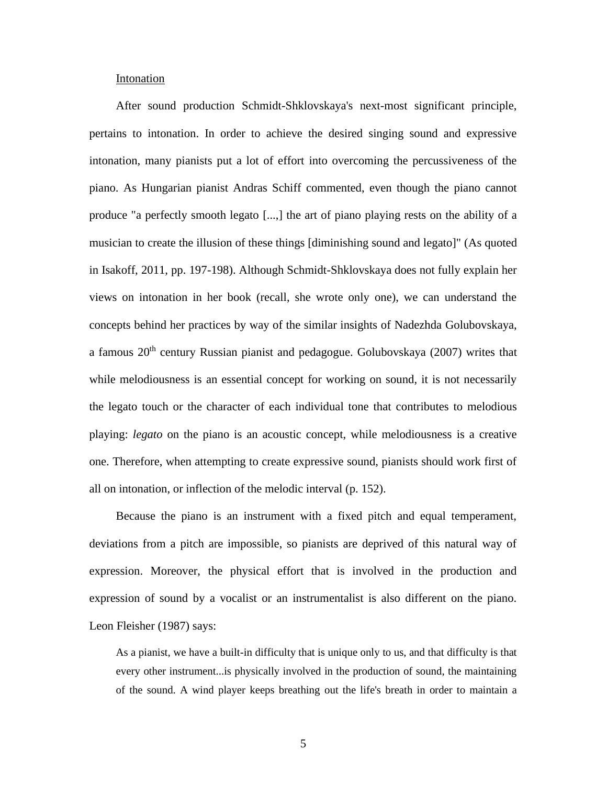## Intonation

After sound production Schmidt-Shklovskaya's next-most significant principle, pertains to intonation. In order to achieve the desired singing sound and expressive intonation, many pianists put a lot of effort into overcoming the percussiveness of the piano. As Hungarian pianist Andras Schiff commented, even though the piano cannot produce "a perfectly smooth legato [...,] the art of piano playing rests on the ability of a musician to create the illusion of these things [diminishing sound and legato]" (As quoted in Isakoff, 2011, pp. 197-198). Although Schmidt-Shklovskaya does not fully explain her views on intonation in her book (recall, she wrote only one), we can understand the concepts behind her practices by way of the similar insights of Nadezhda Golubovskaya, a famous 20<sup>th</sup> century Russian pianist and pedagogue. Golubovskaya (2007) writes that while melodiousness is an essential concept for working on sound, it is not necessarily the legato touch or the character of each individual tone that contributes to melodious playing: *legato* on the piano is an acoustic concept, while melodiousness is a creative one. Therefore, when attempting to create expressive sound, pianists should work first of all on intonation, or inflection of the melodic interval (p. 152).

Because the piano is an instrument with a fixed pitch and equal temperament, deviations from a pitch are impossible, so pianists are deprived of this natural way of expression. Moreover, the physical effort that is involved in the production and expression of sound by a vocalist or an instrumentalist is also different on the piano. Leon Fleisher (1987) says:

As a pianist, we have a built-in difficulty that is unique only to us, and that difficulty is that every other instrument...is physically involved in the production of sound, the maintaining of the sound. A wind player keeps breathing out the life's breath in order to maintain a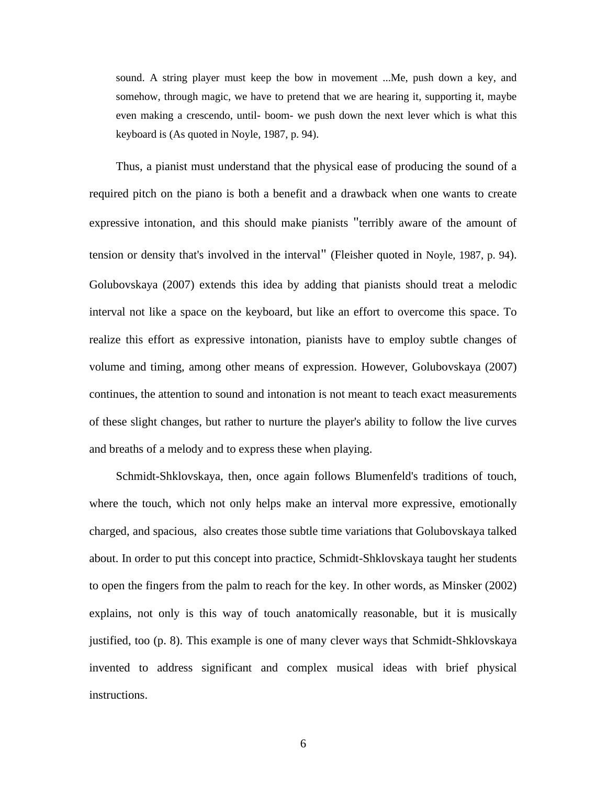sound. A string player must keep the bow in movement ...Me, push down a key, and somehow, through magic, we have to pretend that we are hearing it, supporting it, maybe even making a crescendo, until- boom- we push down the next lever which is what this keyboard is (As quoted in Noyle, 1987, p. 94).

Thus, a pianist must understand that the physical ease of producing the sound of a required pitch on the piano is both a benefit and a drawback when one wants to create expressive intonation, and this should make pianists "terribly aware of the amount of tension or density that's involved in the interval" (Fleisher quoted in Noyle, 1987, p. 94). Golubovskaya (2007) extends this idea by adding that pianists should treat a melodic interval not like a space on the keyboard, but like an effort to overcome this space. To realize this effort as expressive intonation, pianists have to employ subtle changes of volume and timing, among other means of expression. However, Golubovskaya (2007) continues, the attention to sound and intonation is not meant to teach exact measurements of these slight changes, but rather to nurture the player's ability to follow the live curves and breaths of a melody and to express these when playing.

Schmidt-Shklovskaya, then, once again follows Blumenfeld's traditions of touch, where the touch, which not only helps make an interval more expressive, emotionally charged, and spacious, also creates those subtle time variations that Golubovskaya talked about. In order to put this concept into practice, Schmidt-Shklovskaya taught her students to open the fingers from the palm to reach for the key. In other words, as Minsker (2002) explains, not only is this way of touch anatomically reasonable, but it is musically justified, too (p. 8). This example is one of many clever ways that Schmidt-Shklovskaya invented to address significant and complex musical ideas with brief physical instructions.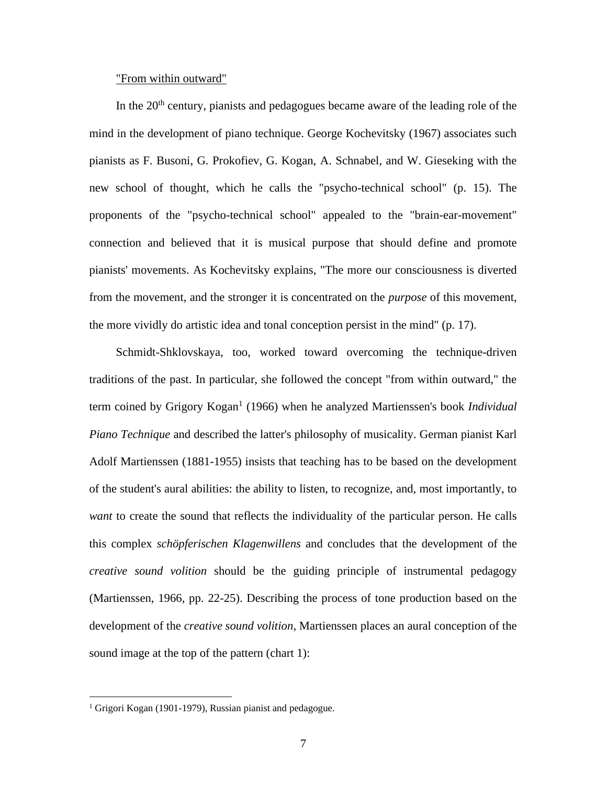## "From within outward"

In the  $20<sup>th</sup>$  century, pianists and pedagogues became aware of the leading role of the mind in the development of piano technique. George Kochevitsky (1967) associates such pianists as F. Busoni, G. Prokofiev, G. Kogan, A. Schnabel, and W. Gieseking with the new school of thought, which he calls the "psycho-technical school" (p. 15). The proponents of the "psycho-technical school" appealed to the "brain-ear-movement" connection and believed that it is musical purpose that should define and promote pianists' movements. As Kochevitsky explains, "The more our consciousness is diverted from the movement, and the stronger it is concentrated on the *purpose* of this movement, the more vividly do artistic idea and tonal conception persist in the mind" (p. 17).

Schmidt-Shklovskaya, too, worked toward overcoming the technique-driven traditions of the past. In particular, she followed the concept "from within outward," the term coined by Grigory Kogan<sup>1</sup> (1966) when he analyzed Martienssen's book *Individual Piano Technique* and described the latter's philosophy of musicality. German pianist Karl Adolf Martienssen (1881-1955) insists that teaching has to be based on the development of the student's aural abilities: the ability to listen, to recognize, and, most importantly, to *want* to create the sound that reflects the individuality of the particular person. He calls this complex *schöpferischen Klagenwillens* and concludes that the development of the *creative sound volition* should be the guiding principle of instrumental pedagogy (Martienssen, 1966, pp. 22-25). Describing the process of tone production based on the development of the *creative sound volition*, Martienssen places an aural conception of the sound image at the top of the pattern (chart 1):

<sup>&</sup>lt;sup>1</sup> Grigori Kogan (1901-1979), Russian pianist and pedagogue.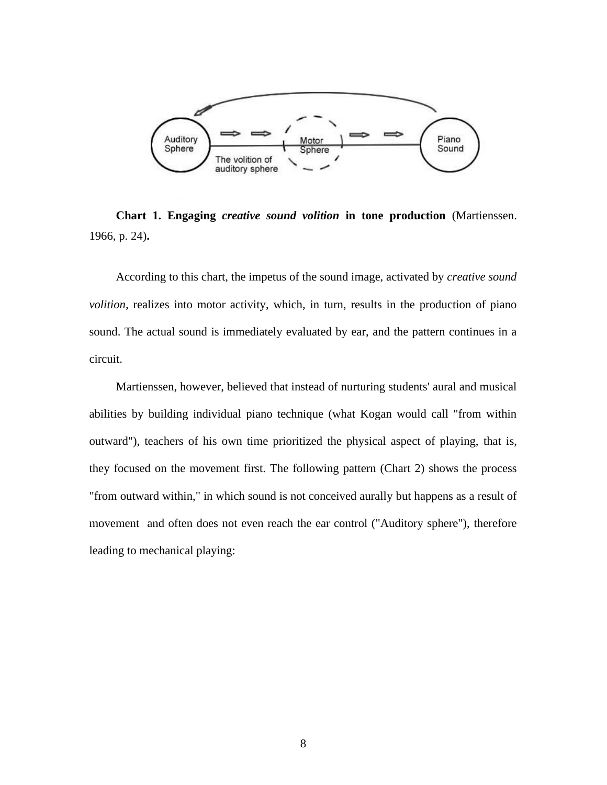

**Chart 1. Engaging** *creative sound volition* **in tone production** (Martienssen. 1966, p. 24)**.**

According to this chart, the impetus of the sound image, activated by *creative sound volition,* realizes into motor activity, which, in turn, results in the production of piano sound. The actual sound is immediately evaluated by ear, and the pattern continues in a circuit.

Martienssen, however, believed that instead of nurturing students' aural and musical abilities by building individual piano technique (what Kogan would call "from within outward"), teachers of his own time prioritized the physical aspect of playing, that is, they focused on the movement first. The following pattern (Chart 2) shows the process "from outward within," in which sound is not conceived aurally but happens as a result of movement and often does not even reach the ear control ("Auditory sphere"), therefore leading to mechanical playing: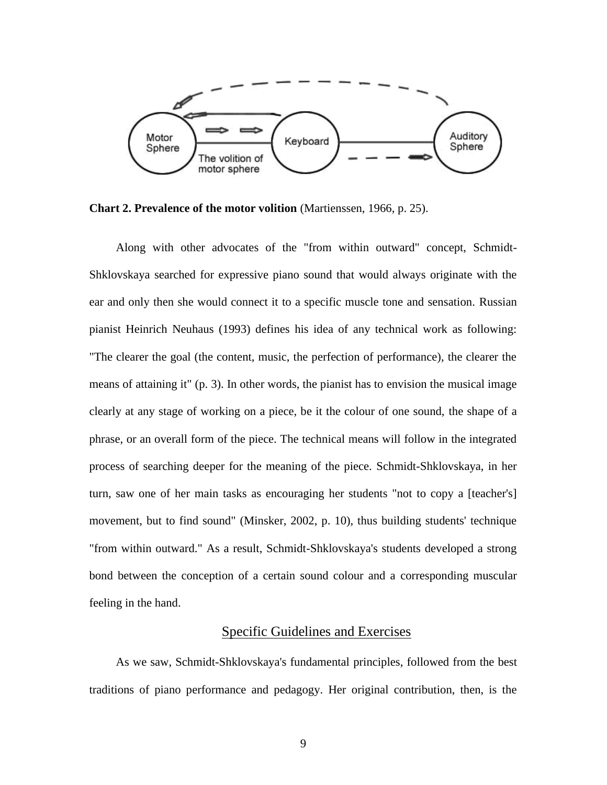

**Chart 2. Prevalence of the motor volition** (Martienssen, 1966, p. 25).

Along with other advocates of the "from within outward" concept, Schmidt-Shklovskaya searched for expressive piano sound that would always originate with the ear and only then she would connect it to a specific muscle tone and sensation. Russian pianist Heinrich Neuhaus (1993) defines his idea of any technical work as following: "The clearer the goal (the content, music, the perfection of performance), the clearer the means of attaining it" (p. 3). In other words, the pianist has to envision the musical image clearly at any stage of working on a piece, be it the colour of one sound, the shape of a phrase, or an overall form of the piece. The technical means will follow in the integrated process of searching deeper for the meaning of the piece. Schmidt-Shklovskaya, in her turn, saw one of her main tasks as encouraging her students "not to copy a [teacher's] movement, but to find sound" (Minsker, 2002, p. 10), thus building students' technique "from within outward." As a result, Schmidt-Shklovskaya's students developed a strong bond between the conception of a certain sound colour and a corresponding muscular feeling in the hand.

# Specific Guidelines and Exercises

As we saw, Schmidt-Shklovskaya's fundamental principles, followed from the best traditions of piano performance and pedagogy. Her original contribution, then, is the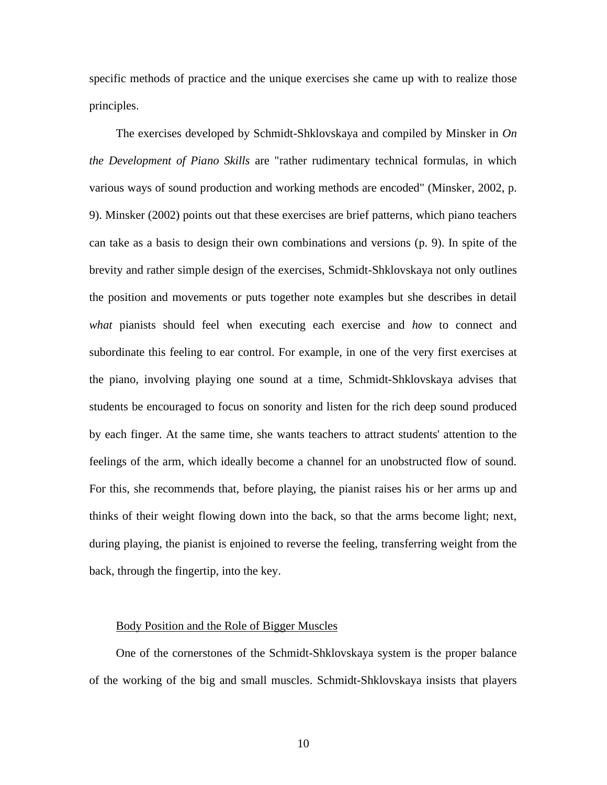specific methods of practice and the unique exercises she came up with to realize those principles.

The exercises developed by Schmidt-Shklovskaya and compiled by Minsker in *On the Development of Piano Skills* are "rather rudimentary technical formulas, in which various ways of sound production and working methods are encoded" (Minsker, 2002, p. 9). Minsker (2002) points out that these exercises are brief patterns, which piano teachers can take as a basis to design their own combinations and versions (p. 9). In spite of the brevity and rather simple design of the exercises, Schmidt-Shklovskaya not only outlines the position and movements or puts together note examples but she describes in detail *what* pianists should feel when executing each exercise and *how* to connect and subordinate this feeling to ear control. For example, in one of the very first exercises at the piano, involving playing one sound at a time, Schmidt-Shklovskaya advises that students be encouraged to focus on sonority and listen for the rich deep sound produced by each finger. At the same time, she wants teachers to attract students' attention to the feelings of the arm, which ideally become a channel for an unobstructed flow of sound. For this, she recommends that, before playing, the pianist raises his or her arms up and thinks of their weight flowing down into the back, so that the arms become light; next, during playing, the pianist is enjoined to reverse the feeling, transferring weight from the back, through the fingertip, into the key.

#### Body Position and the Role of Bigger Muscles

One of the cornerstones of the Schmidt-Shklovskaya system is the proper balance of the working of the big and small muscles. Schmidt-Shklovskaya insists that players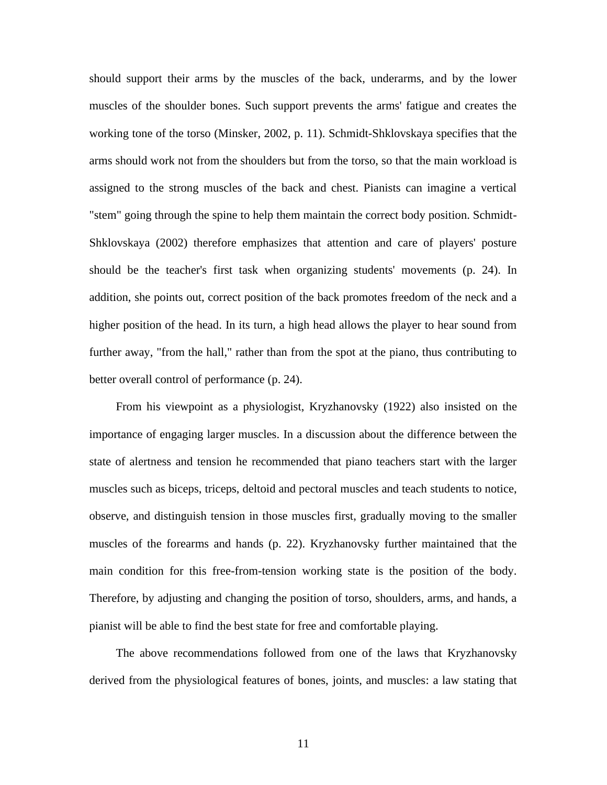should support their arms by the muscles of the back, underarms, and by the lower muscles of the shoulder bones. Such support prevents the arms' fatigue and creates the working tone of the torso (Minsker, 2002, p. 11). Schmidt-Shklovskaya specifies that the arms should work not from the shoulders but from the torso, so that the main workload is assigned to the strong muscles of the back and chest. Pianists can imagine a vertical "stem" going through the spine to help them maintain the correct body position. Schmidt-Shklovskaya (2002) therefore emphasizes that attention and care of players' posture should be the teacher's first task when organizing students' movements (p. 24). In addition, she points out, correct position of the back promotes freedom of the neck and a higher position of the head. In its turn, a high head allows the player to hear sound from further away, "from the hall," rather than from the spot at the piano, thus contributing to better overall control of performance (p. 24).

From his viewpoint as a physiologist, Kryzhanovsky (1922) also insisted on the importance of engaging larger muscles. In a discussion about the difference between the state of alertness and tension he recommended that piano teachers start with the larger muscles such as biceps, triceps, deltoid and pectoral muscles and teach students to notice, observe, and distinguish tension in those muscles first, gradually moving to the smaller muscles of the forearms and hands (p. 22). Kryzhanovsky further maintained that the main condition for this free-from-tension working state is the position of the body. Therefore, by adjusting and changing the position of torso, shoulders, arms, and hands, a pianist will be able to find the best state for free and comfortable playing.

The above recommendations followed from one of the laws that Kryzhanovsky derived from the physiological features of bones, joints, and muscles: a law stating that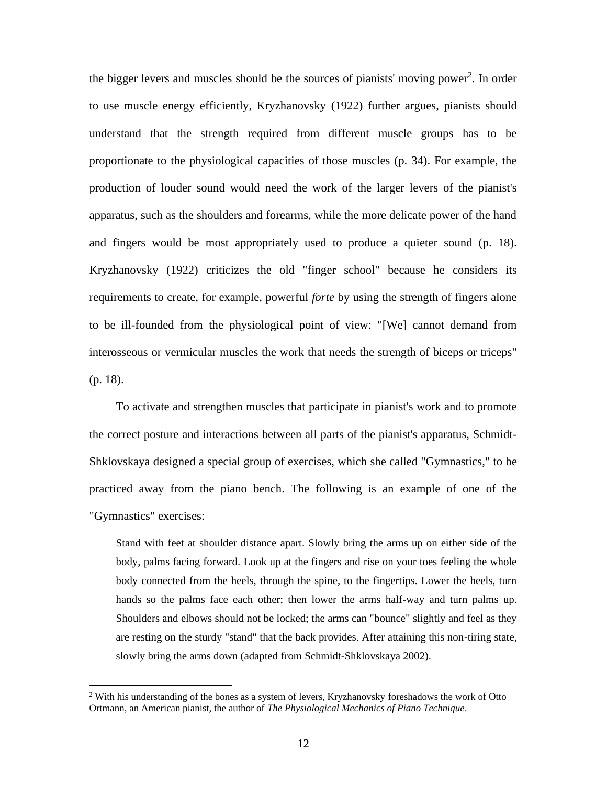the bigger levers and muscles should be the sources of pianists' moving power<sup>2</sup>. In order to use muscle energy efficiently, Kryzhanovsky (1922) further argues, pianists should understand that the strength required from different muscle groups has to be proportionate to the physiological capacities of those muscles (p. 34). For example, the production of louder sound would need the work of the larger levers of the pianist's apparatus, such as the shoulders and forearms, while the more delicate power of the hand and fingers would be most appropriately used to produce a quieter sound (p. 18). Kryzhanovsky (1922) criticizes the old "finger school" because he considers its requirements to create, for example, powerful *forte* by using the strength of fingers alone to be ill-founded from the physiological point of view: "[We] cannot demand from interosseous or vermicular muscles the work that needs the strength of biceps or triceps" (p. 18).

To activate and strengthen muscles that participate in pianist's work and to promote the correct posture and interactions between all parts of the pianist's apparatus, Schmidt-Shklovskaya designed a special group of exercises, which she called "Gymnastics*,*" to be practiced away from the piano bench. The following is an example of one of the "Gymnastics" exercises:

Stand with feet at shoulder distance apart. Slowly bring the arms up on either side of the body, palms facing forward. Look up at the fingers and rise on your toes feeling the whole body connected from the heels, through the spine, to the fingertips. Lower the heels, turn hands so the palms face each other; then lower the arms half-way and turn palms up. Shoulders and elbows should not be locked; the arms can "bounce" slightly and feel as they are resting on the sturdy "stand" that the back provides. After attaining this non-tiring state, slowly bring the arms down (adapted from Schmidt-Shklovskaya 2002).

 $2$  With his understanding of the bones as a system of levers, Kryzhanovsky foreshadows the work of Otto Ortmann, an American pianist, the author of *The Physiological Mechanics of Piano Technique.*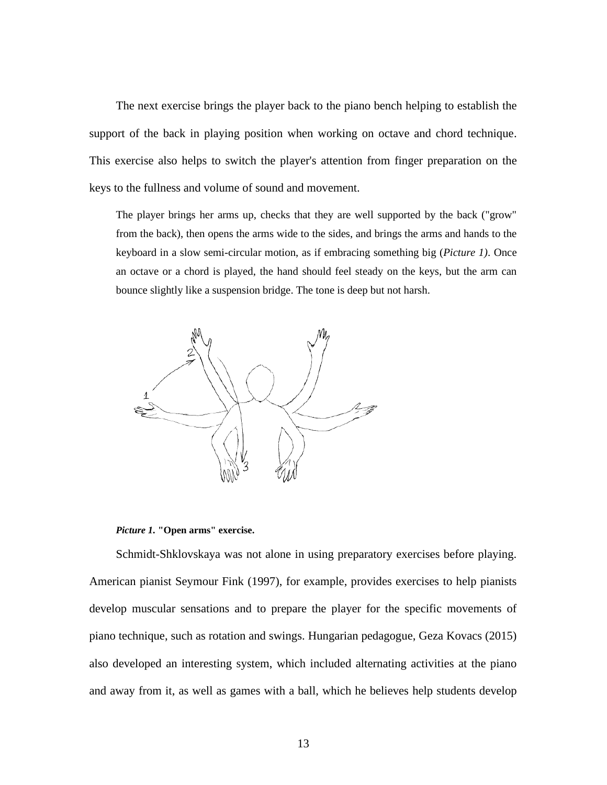The next exercise brings the player back to the piano bench helping to establish the support of the back in playing position when working on octave and chord technique. This exercise also helps to switch the player's attention from finger preparation on the keys to the fullness and volume of sound and movement.

The player brings her arms up, checks that they are well supported by the back ("grow" from the back), then opens the arms wide to the sides, and brings the arms and hands to the keyboard in a slow semi-circular motion, as if embracing something big (*Picture 1)*. Once an octave or a chord is played, the hand should feel steady on the keys, but the arm can bounce slightly like a suspension bridge. The tone is deep but not harsh.



*Picture 1.* **"Open arms" exercise.**

Schmidt-Shklovskaya was not alone in using preparatory exercises before playing. American pianist Seymour Fink (1997), for example, provides exercises to help pianists develop muscular sensations and to prepare the player for the specific movements of piano technique, such as rotation and swings. Hungarian pedagogue, Geza Kovacs (2015) also developed an interesting system, which included alternating activities at the piano and away from it, as well as games with a ball, which he believes help students develop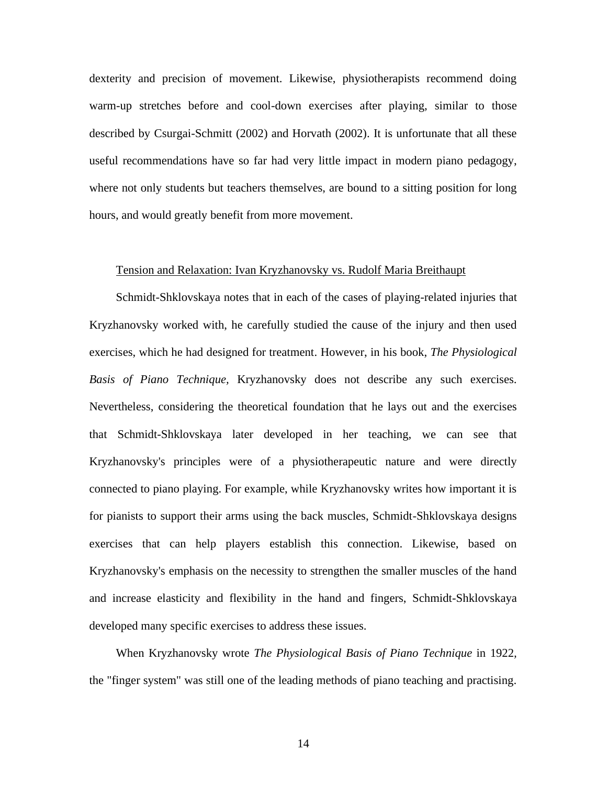dexterity and precision of movement. Likewise, physiotherapists recommend doing warm-up stretches before and cool-down exercises after playing, similar to those described by Csurgai-Schmitt (2002) and Horvath (2002). It is unfortunate that all these useful recommendations have so far had very little impact in modern piano pedagogy, where not only students but teachers themselves, are bound to a sitting position for long hours, and would greatly benefit from more movement.

#### Tension and Relaxation: Ivan Kryzhanovsky vs. Rudolf Maria Breithaupt

Schmidt-Shklovskaya notes that in each of the cases of playing-related injuries that Kryzhanovsky worked with, he carefully studied the cause of the injury and then used exercises, which he had designed for treatment. However, in his book, *The Physiological Basis of Piano Technique,* Kryzhanovsky does not describe any such exercises. Nevertheless, considering the theoretical foundation that he lays out and the exercises that Schmidt-Shklovskaya later developed in her teaching, we can see that Kryzhanovsky's principles were of a physiotherapeutic nature and were directly connected to piano playing. For example, while Kryzhanovsky writes how important it is for pianists to support their arms using the back muscles, Schmidt-Shklovskaya designs exercises that can help players establish this connection. Likewise, based on Kryzhanovsky's emphasis on the necessity to strengthen the smaller muscles of the hand and increase elasticity and flexibility in the hand and fingers, Schmidt-Shklovskaya developed many specific exercises to address these issues.

When Kryzhanovsky wrote *The Physiological Basis of Piano Technique* in 1922*,*  the "finger system" was still one of the leading methods of piano teaching and practising.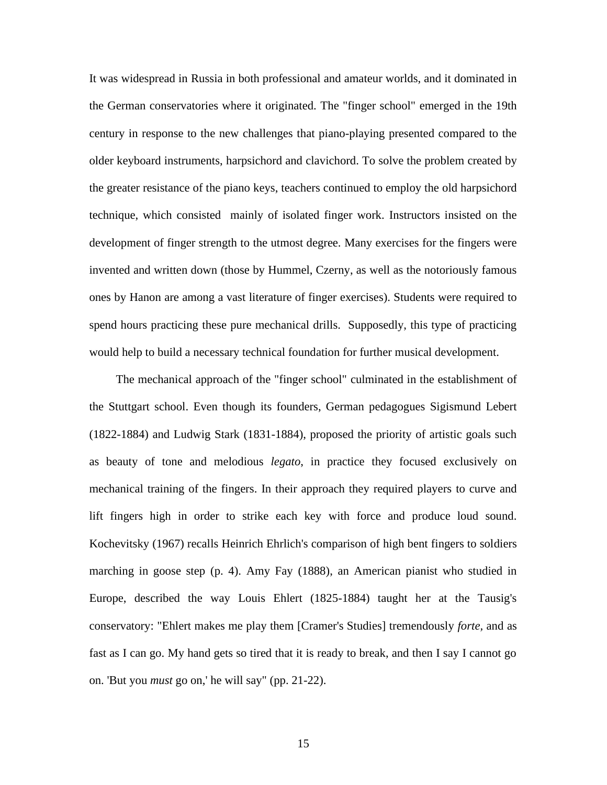It was widespread in Russia in both professional and amateur worlds, and it dominated in the German conservatories where it originated. The "finger school" emerged in the 19th century in response to the new challenges that piano-playing presented compared to the older keyboard instruments, harpsichord and clavichord. To solve the problem created by the greater resistance of the piano keys, teachers continued to employ the old harpsichord technique, which consisted mainly of isolated finger work. Instructors insisted on the development of finger strength to the utmost degree. Many exercises for the fingers were invented and written down (those by Hummel, Czerny, as well as the notoriously famous ones by Hanon are among a vast literature of finger exercises). Students were required to spend hours practicing these pure mechanical drills. Supposedly, this type of practicing would help to build a necessary technical foundation for further musical development.

The mechanical approach of the "finger school" culminated in the establishment of the Stuttgart school. Even though its founders, German pedagogues Sigismund Lebert (1822-1884) and Ludwig Stark (1831-1884), proposed the priority of artistic goals such as beauty of tone and melodious *legato*, in practice they focused exclusively on mechanical training of the fingers. In their approach they required players to curve and lift fingers high in order to strike each key with force and produce loud sound. Kochevitsky (1967) recalls Heinrich Ehrlich's comparison of high bent fingers to soldiers marching in goose step (p. 4). Amy Fay (1888), an American pianist who studied in Europe, described the way Louis Ehlert (1825-1884) taught her at the Tausig's conservatory: "Ehlert makes me play them [Cramer's Studies] tremendously *forte,* and as fast as I can go. My hand gets so tired that it is ready to break, and then I say I cannot go on. 'But you *must* go on,' he will say" (pp. 21-22).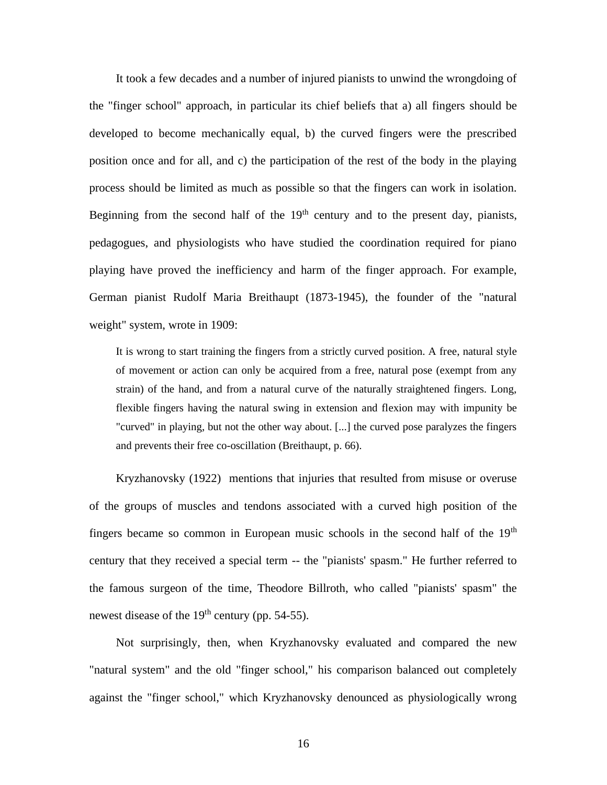It took a few decades and a number of injured pianists to unwind the wrongdoing of the "finger school" approach, in particular its chief beliefs that a) all fingers should be developed to become mechanically equal, b) the curved fingers were the prescribed position once and for all, and c) the participation of the rest of the body in the playing process should be limited as much as possible so that the fingers can work in isolation. Beginning from the second half of the  $19<sup>th</sup>$  century and to the present day, pianists, pedagogues, and physiologists who have studied the coordination required for piano playing have proved the inefficiency and harm of the finger approach. For example, German pianist Rudolf Maria Breithaupt (1873-1945), the founder of the "natural weight" system, wrote in 1909:

It is wrong to start training the fingers from a strictly curved position. A free, natural style of movement or action can only be acquired from a free, natural pose (exempt from any strain) of the hand, and from a natural curve of the naturally straightened fingers. Long, flexible fingers having the natural swing in extension and flexion may with impunity be "curved" in playing, but not the other way about. [...] the curved pose paralyzes the fingers and prevents their free co-oscillation (Breithaupt, p. 66).

Kryzhanovsky (1922) mentions that injuries that resulted from misuse or overuse of the groups of muscles and tendons associated with a curved high position of the fingers became so common in European music schools in the second half of the  $19<sup>th</sup>$ century that they received a special term -- the "pianists' spasm." He further referred to the famous surgeon of the time, Theodore Billroth, who called "pianists' spasm" the newest disease of the  $19<sup>th</sup>$  century (pp. 54-55).

Not surprisingly, then, when Kryzhanovsky evaluated and compared the new "natural system" and the old "finger school," his comparison balanced out completely against the "finger school," which Kryzhanovsky denounced as physiologically wrong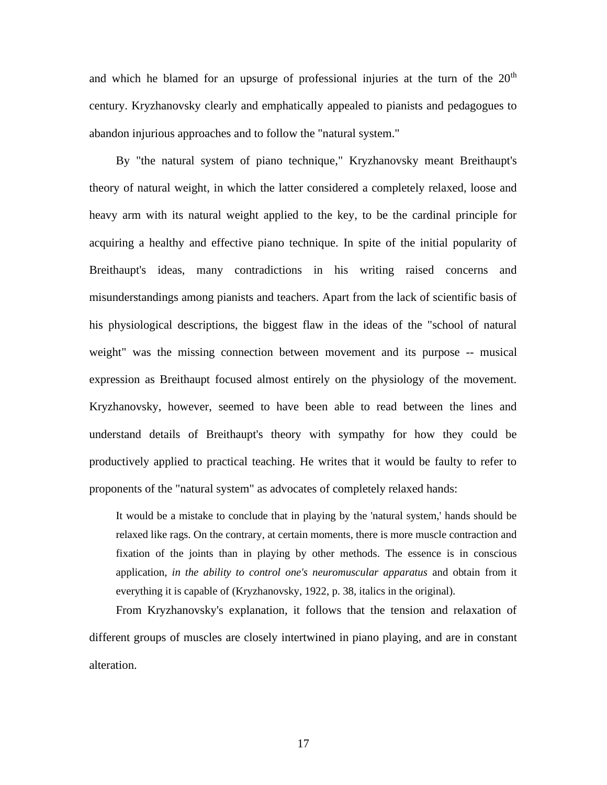and which he blamed for an upsurge of professional injuries at the turn of the  $20<sup>th</sup>$ century. Kryzhanovsky clearly and emphatically appealed to pianists and pedagogues to abandon injurious approaches and to follow the "natural system."

By "the natural system of piano technique," Kryzhanovsky meant Breithaupt's theory of natural weight, in which the latter considered a completely relaxed, loose and heavy arm with its natural weight applied to the key, to be the cardinal principle for acquiring a healthy and effective piano technique. In spite of the initial popularity of Breithaupt's ideas, many contradictions in his writing raised concerns and misunderstandings among pianists and teachers. Apart from the lack of scientific basis of his physiological descriptions, the biggest flaw in the ideas of the "school of natural weight" was the missing connection between movement and its purpose -- musical expression as Breithaupt focused almost entirely on the physiology of the movement. Kryzhanovsky, however, seemed to have been able to read between the lines and understand details of Breithaupt's theory with sympathy for how they could be productively applied to practical teaching. He writes that it would be faulty to refer to proponents of the "natural system" as advocates of completely relaxed hands:

It would be a mistake to conclude that in playing by the 'natural system,' hands should be relaxed like rags. On the contrary, at certain moments, there is more muscle contraction and fixation of the joints than in playing by other methods. The essence is in conscious application, *in the ability to control one's neuromuscular apparatus* and obtain from it everything it is capable of (Kryzhanovsky, 1922, p. 38, italics in the original).

From Kryzhanovsky's explanation, it follows that the tension and relaxation of different groups of muscles are closely intertwined in piano playing, and are in constant alteration.

17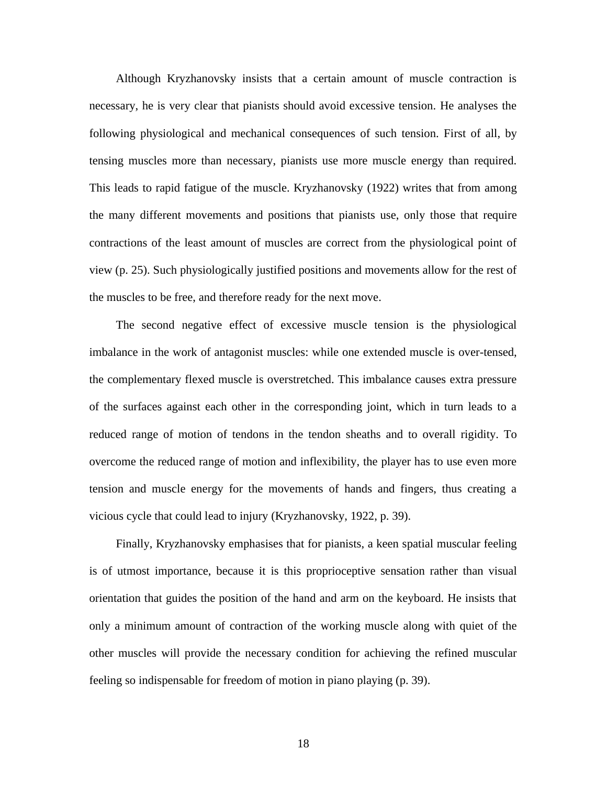Although Kryzhanovsky insists that a certain amount of muscle contraction is necessary, he is very clear that pianists should avoid excessive tension. He analyses the following physiological and mechanical consequences of such tension. First of all, by tensing muscles more than necessary, pianists use more muscle energy than required. This leads to rapid fatigue of the muscle. Kryzhanovsky (1922) writes that from among the many different movements and positions that pianists use, only those that require contractions of the least amount of muscles are correct from the physiological point of view (p. 25). Such physiologically justified positions and movements allow for the rest of the muscles to be free, and therefore ready for the next move.

The second negative effect of excessive muscle tension is the physiological imbalance in the work of antagonist muscles: while one extended muscle is over-tensed, the complementary flexed muscle is overstretched. This imbalance causes extra pressure of the surfaces against each other in the corresponding joint, which in turn leads to a reduced range of motion of tendons in the tendon sheaths and to overall rigidity. To overcome the reduced range of motion and inflexibility, the player has to use even more tension and muscle energy for the movements of hands and fingers, thus creating a vicious cycle that could lead to injury (Kryzhanovsky, 1922, p. 39).

Finally, Kryzhanovsky emphasises that for pianists, a keen spatial muscular feeling is of utmost importance, because it is this proprioceptive sensation rather than visual orientation that guides the position of the hand and arm on the keyboard. He insists that only a minimum amount of contraction of the working muscle along with quiet of the other muscles will provide the necessary condition for achieving the refined muscular feeling so indispensable for freedom of motion in piano playing (p. 39).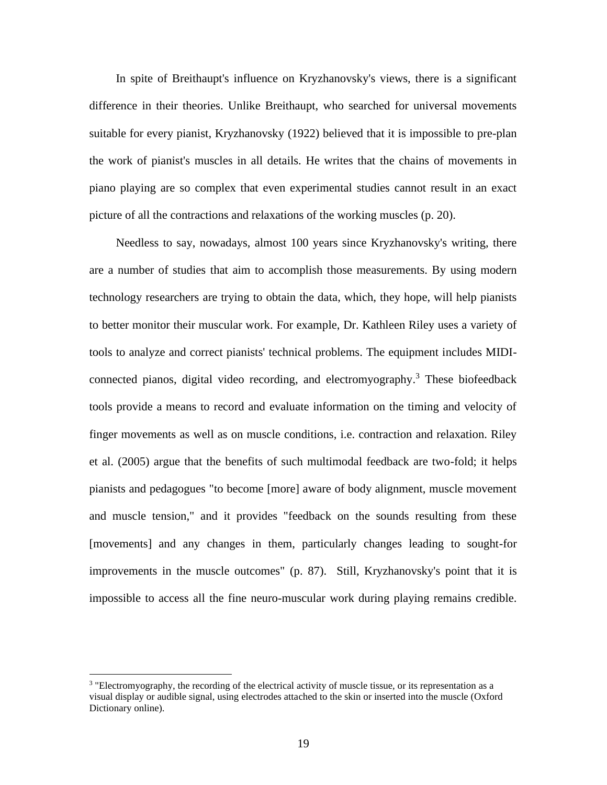In spite of Breithaupt's influence on Kryzhanovsky's views, there is a significant difference in their theories. Unlike Breithaupt, who searched for universal movements suitable for every pianist, Kryzhanovsky (1922) believed that it is impossible to pre-plan the work of pianist's muscles in all details. He writes that the chains of movements in piano playing are so complex that even experimental studies cannot result in an exact picture of all the contractions and relaxations of the working muscles (p. 20).

Needless to say, nowadays, almost 100 years since Kryzhanovsky's writing, there are a number of studies that aim to accomplish those measurements. By using modern technology researchers are trying to obtain the data, which, they hope, will help pianists to better monitor their muscular work. For example, Dr. Kathleen Riley uses a variety of tools to analyze and correct pianists' technical problems. The equipment includes MIDIconnected pianos, digital video recording, and electromyography. <sup>3</sup> These biofeedback tools provide a means to record and evaluate information on the timing and velocity of finger movements as well as on muscle conditions, i.e. contraction and relaxation. Riley et al. (2005) argue that the benefits of such multimodal feedback are two-fold; it helps pianists and pedagogues "to become [more] aware of body alignment, muscle movement and muscle tension," and it provides "feedback on the sounds resulting from these [movements] and any changes in them, particularly changes leading to sought-for improvements in the muscle outcomes" (p. 87). Still, Kryzhanovsky's point that it is impossible to access all the fine neuro-muscular work during playing remains credible.

<sup>&</sup>lt;sup>3</sup> "Electromyography, the recording of the electrical activity of muscle tissue, or its representation as a visual display or audible signal, using electrodes attached to the skin or inserted into the muscle (Oxford Dictionary online).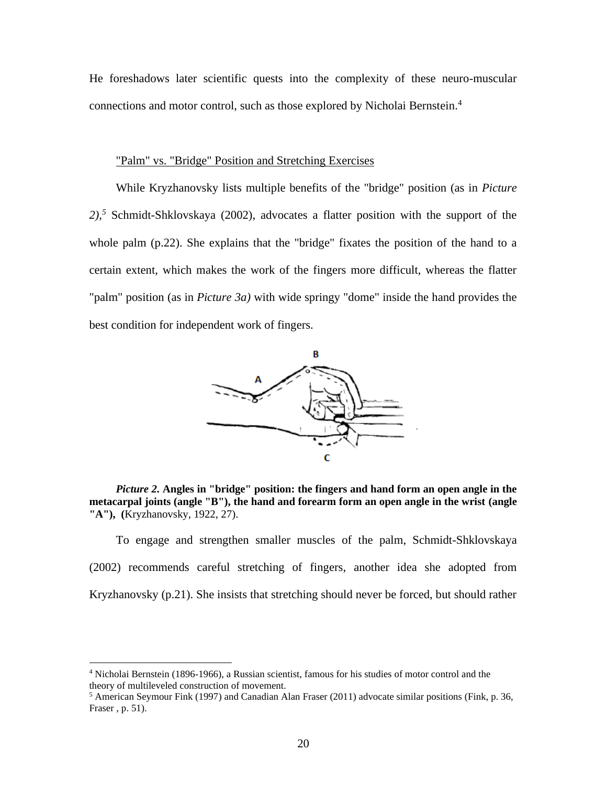He foreshadows later scientific quests into the complexity of these neuro-muscular connections and motor control, such as those explored by Nicholai Bernstein. 4

### "Palm" vs. "Bridge" Position and Stretching Exercises

While Kryzhanovsky lists multiple benefits of the "bridge" position (as in *Picture 2),<sup>5</sup>* Schmidt-Shklovskaya (2002), advocates a flatter position with the support of the whole palm (p.22). She explains that the "bridge" fixates the position of the hand to a certain extent, which makes the work of the fingers more difficult, whereas the flatter "palm" position (as in *Picture 3a)* with wide springy "dome" inside the hand provides the best condition for independent work of fingers.



*Picture 2.* **Angles in "bridge" position: the fingers and hand form an open angle in the metacarpal joints (angle "B"), the hand and forearm form an open angle in the wrist (angle "A"), (**Kryzhanovsky, 1922, 27).

To engage and strengthen smaller muscles of the palm, Schmidt-Shklovskaya (2002) recommends careful stretching of fingers, another idea she adopted from Kryzhanovsky (p.21). She insists that stretching should never be forced, but should rather

<sup>4</sup> Nicholai Bernstein (1896-1966), a Russian scientist, famous for his studies of motor control and the theory of multileveled construction of movement.

 $<sup>5</sup>$  American Seymour Fink (1997) and Canadian Alan Fraser (2011) advocate similar positions (Fink, p. 36,</sup> Fraser , p. 51).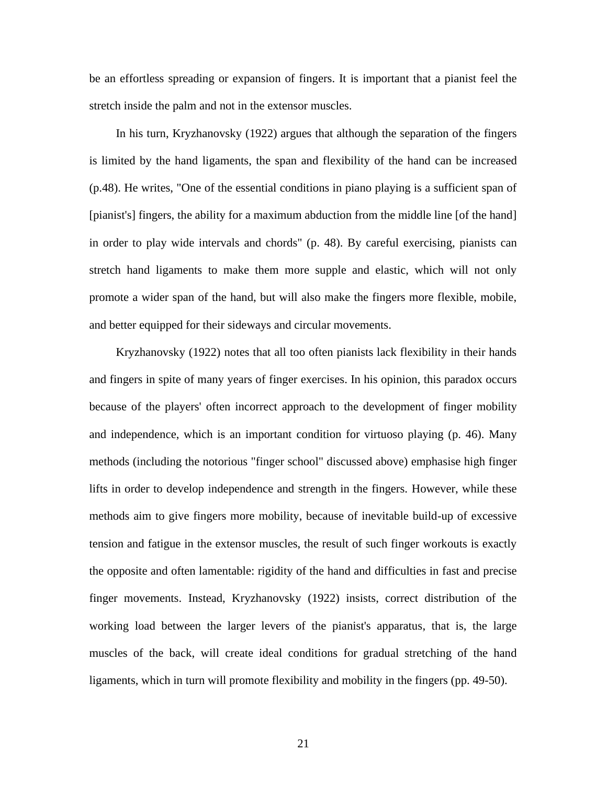be an effortless spreading or expansion of fingers. It is important that a pianist feel the stretch inside the palm and not in the extensor muscles.

In his turn, Kryzhanovsky (1922) argues that although the separation of the fingers is limited by the hand ligaments, the span and flexibility of the hand can be increased (p.48). He writes, "One of the essential conditions in piano playing is a sufficient span of [pianist's] fingers, the ability for a maximum abduction from the middle line [of the hand] in order to play wide intervals and chords" (p. 48). By careful exercising, pianists can stretch hand ligaments to make them more supple and elastic, which will not only promote a wider span of the hand, but will also make the fingers more flexible, mobile, and better equipped for their sideways and circular movements.

Kryzhanovsky (1922) notes that all too often pianists lack flexibility in their hands and fingers in spite of many years of finger exercises. In his opinion, this paradox occurs because of the players' often incorrect approach to the development of finger mobility and independence, which is an important condition for virtuoso playing (p. 46). Many methods (including the notorious "finger school" discussed above) emphasise high finger lifts in order to develop independence and strength in the fingers. However, while these methods aim to give fingers more mobility, because of inevitable build-up of excessive tension and fatigue in the extensor muscles, the result of such finger workouts is exactly the opposite and often lamentable: rigidity of the hand and difficulties in fast and precise finger movements. Instead, Kryzhanovsky (1922) insists, correct distribution of the working load between the larger levers of the pianist's apparatus, that is, the large muscles of the back, will create ideal conditions for gradual stretching of the hand ligaments, which in turn will promote flexibility and mobility in the fingers (pp. 49-50).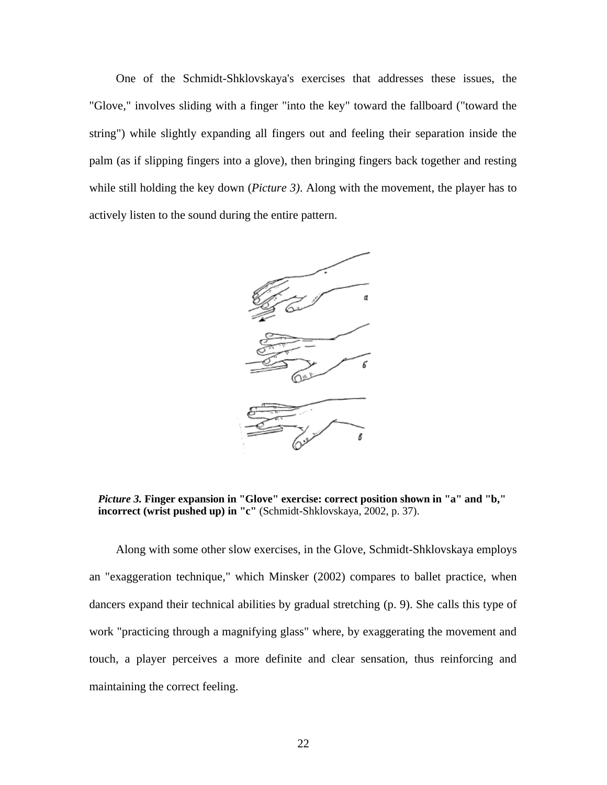One of the Schmidt-Shklovskaya's exercises that addresses these issues, the "Glove," involves sliding with a finger "into the key" toward the fallboard ("toward the string") while slightly expanding all fingers out and feeling their separation inside the palm (as if slipping fingers into a glove), then bringing fingers back together and resting while still holding the key down (*Picture 3)*. Along with the movement, the player has to actively listen to the sound during the entire pattern.



*Picture 3.* **Finger expansion in "Glove" exercise: correct position shown in "a" and "b," incorrect (wrist pushed up) in "c"** (Schmidt-Shklovskaya, 2002, p. 37).

Along with some other slow exercises, in the Glove, Schmidt-Shklovskaya employs an "exaggeration technique," which Minsker (2002) compares to ballet practice, when dancers expand their technical abilities by gradual stretching (p. 9). She calls this type of work "practicing through a magnifying glass" where, by exaggerating the movement and touch, a player perceives a more definite and clear sensation, thus reinforcing and maintaining the correct feeling.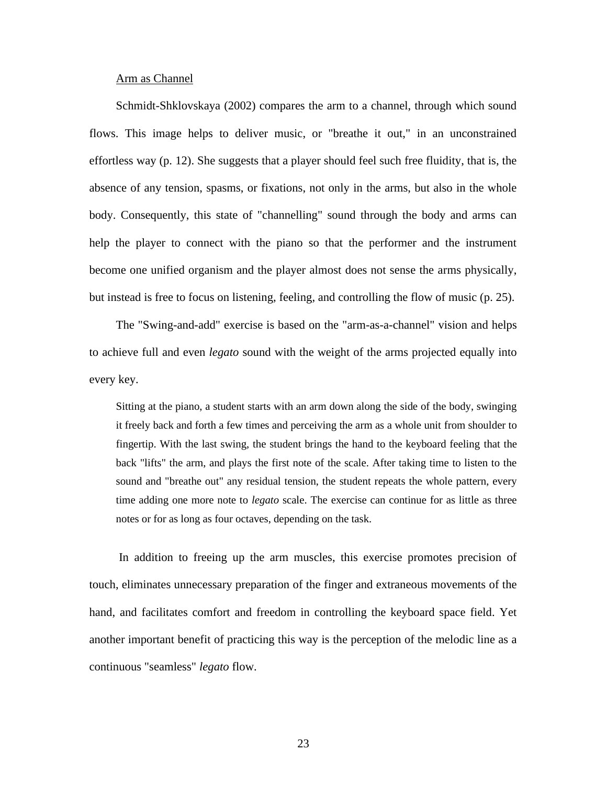## Arm as Channel

Schmidt-Shklovskaya (2002) compares the arm to a channel, through which sound flows. This image helps to deliver music, or "breathe it out," in an unconstrained effortless way (p. 12). She suggests that a player should feel such free fluidity, that is, the absence of any tension, spasms, or fixations, not only in the arms, but also in the whole body. Consequently, this state of "channelling" sound through the body and arms can help the player to connect with the piano so that the performer and the instrument become one unified organism and the player almost does not sense the arms physically, but instead is free to focus on listening, feeling, and controlling the flow of music (p. 25).

The "Swing-and-add" exercise is based on the "arm-as-a-channel" vision and helps to achieve full and even *legato* sound with the weight of the arms projected equally into every key.

Sitting at the piano, a student starts with an arm down along the side of the body, swinging it freely back and forth a few times and perceiving the arm as a whole unit from shoulder to fingertip. With the last swing, the student brings the hand to the keyboard feeling that the back "lifts" the arm, and plays the first note of the scale. After taking time to listen to the sound and "breathe out" any residual tension, the student repeats the whole pattern, every time adding one more note to *legato* scale. The exercise can continue for as little as three notes or for as long as four octaves, depending on the task.

In addition to freeing up the arm muscles, this exercise promotes precision of touch, eliminates unnecessary preparation of the finger and extraneous movements of the hand, and facilitates comfort and freedom in controlling the keyboard space field. Yet another important benefit of practicing this way is the perception of the melodic line as a continuous "seamless" *legato* flow.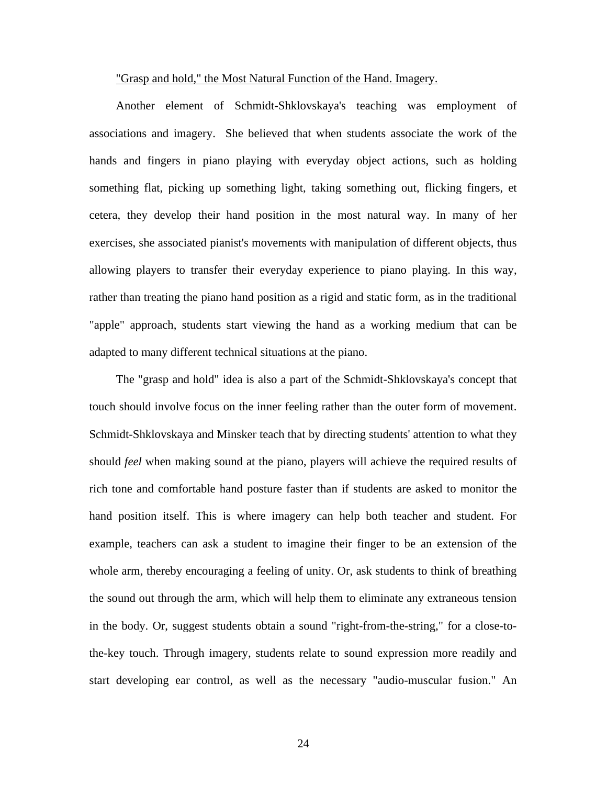#### "Grasp and hold," the Most Natural Function of the Hand. Imagery.

Another element of Schmidt-Shklovskaya's teaching was employment of associations and imagery. She believed that when students associate the work of the hands and fingers in piano playing with everyday object actions, such as holding something flat, picking up something light, taking something out, flicking fingers, et cetera, they develop their hand position in the most natural way. In many of her exercises, she associated pianist's movements with manipulation of different objects, thus allowing players to transfer their everyday experience to piano playing. In this way, rather than treating the piano hand position as a rigid and static form, as in the traditional "apple" approach, students start viewing the hand as a working medium that can be adapted to many different technical situations at the piano.

The "grasp and hold" idea is also a part of the Schmidt-Shklovskaya's concept that touch should involve focus on the inner feeling rather than the outer form of movement. Schmidt-Shklovskaya and Minsker teach that by directing students' attention to what they should *feel* when making sound at the piano, players will achieve the required results of rich tone and comfortable hand posture faster than if students are asked to monitor the hand position itself. This is where imagery can help both teacher and student. For example, teachers can ask a student to imagine their finger to be an extension of the whole arm, thereby encouraging a feeling of unity. Or, ask students to think of breathing the sound out through the arm, which will help them to eliminate any extraneous tension in the body. Or, suggest students obtain a sound "right-from-the-string," for a close-tothe-key touch. Through imagery, students relate to sound expression more readily and start developing ear control, as well as the necessary "audio-muscular fusion." An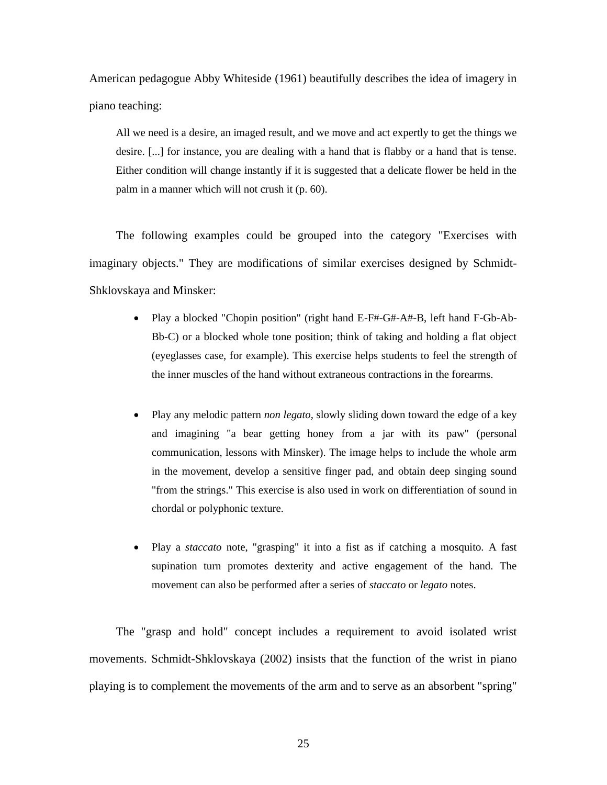American pedagogue Abby Whiteside (1961) beautifully describes the idea of imagery in piano teaching:

All we need is a desire, an imaged result, and we move and act expertly to get the things we desire. [...] for instance, you are dealing with a hand that is flabby or a hand that is tense. Either condition will change instantly if it is suggested that a delicate flower be held in the palm in a manner which will not crush it (p. 60).

The following examples could be grouped into the category "Exercises with imaginary objects." They are modifications of similar exercises designed by Schmidt-Shklovskaya and Minsker:

- Play a blocked "Chopin position" (right hand E-F#-G#-A#-B, left hand F-Gb-Ab-Bb-C) or a blocked whole tone position; think of taking and holding a flat object (eyeglasses case, for example). This exercise helps students to feel the strength of the inner muscles of the hand without extraneous contractions in the forearms.
- Play any melodic pattern *non legato,* slowly sliding down toward the edge of a key and imagining "a bear getting honey from a jar with its paw" (personal communication, lessons with Minsker). The image helps to include the whole arm in the movement, develop a sensitive finger pad, and obtain deep singing sound "from the strings." This exercise is also used in work on differentiation of sound in chordal or polyphonic texture.
- Play a *staccato* note, "grasping" it into a fist as if catching a mosquito. A fast supination turn promotes dexterity and active engagement of the hand. The movement can also be performed after a series of *staccato* or *legato* notes.

The "grasp and hold" concept includes a requirement to avoid isolated wrist movements. Schmidt-Shklovskaya (2002) insists that the function of the wrist in piano playing is to complement the movements of the arm and to serve as an absorbent "spring"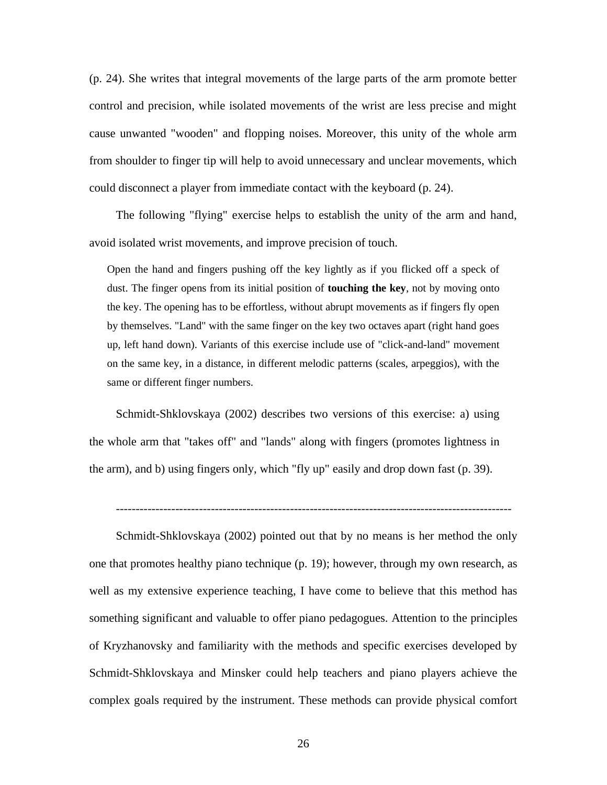(p. 24). She writes that integral movements of the large parts of the arm promote better control and precision, while isolated movements of the wrist are less precise and might cause unwanted "wooden" and flopping noises. Moreover, this unity of the whole arm from shoulder to finger tip will help to avoid unnecessary and unclear movements, which could disconnect a player from immediate contact with the keyboard (p. 24).

The following "flying" exercise helps to establish the unity of the arm and hand, avoid isolated wrist movements, and improve precision of touch.

Open the hand and fingers pushing off the key lightly as if you flicked off a speck of dust. The finger opens from its initial position of **touching the key**, not by moving onto the key. The opening has to be effortless, without abrupt movements as if fingers fly open by themselves. "Land" with the same finger on the key two octaves apart (right hand goes up, left hand down). Variants of this exercise include use of "click-and-land" movement on the same key, in a distance, in different melodic patterns (scales, arpeggios), with the same or different finger numbers.

Schmidt-Shklovskaya (2002) describes two versions of this exercise: a) using the whole arm that "takes off" and "lands" along with fingers (promotes lightness in the arm), and b) using fingers only, which "fly up" easily and drop down fast (p. 39).

----------------------------------------------------------------------------------------------------

Schmidt-Shklovskaya (2002) pointed out that by no means is her method the only one that promotes healthy piano technique (p. 19); however, through my own research, as well as my extensive experience teaching, I have come to believe that this method has something significant and valuable to offer piano pedagogues. Attention to the principles of Kryzhanovsky and familiarity with the methods and specific exercises developed by Schmidt-Shklovskaya and Minsker could help teachers and piano players achieve the complex goals required by the instrument. These methods can provide physical comfort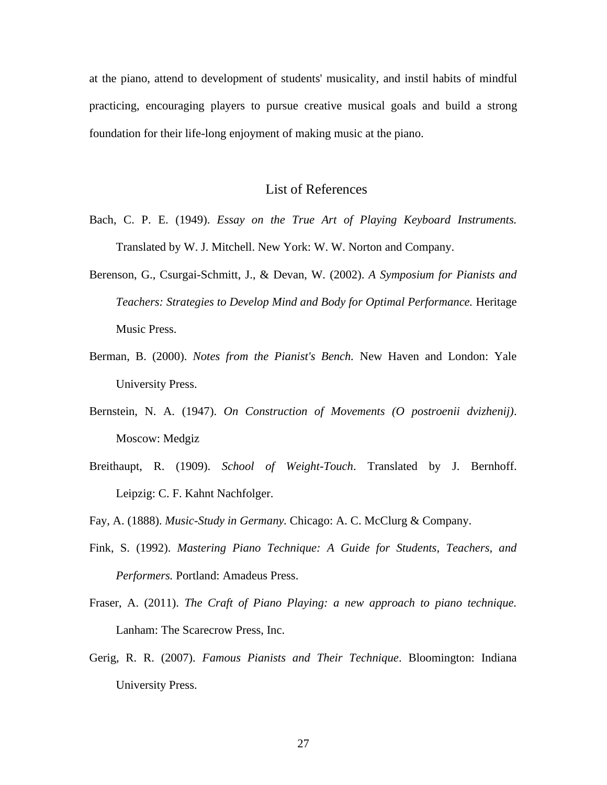at the piano, attend to development of students' musicality, and instil habits of mindful practicing, encouraging players to pursue creative musical goals and build a strong foundation for their life-long enjoyment of making music at the piano.

# List of References

- Bach, C. P. E. (1949). *Essay on the True Art of Playing Keyboard Instruments.*  Translated by W. J. Mitchell. New York: W. W. Norton and Company.
- Berenson, G., Csurgai-Schmitt, J., & Devan, W. (2002). *A Symposium for Pianists and Teachers: Strategies to Develop Mind and Body for Optimal Performance.* Heritage Music Press.
- Berman, B. (2000). *Notes from the Pianist's Bench.* New Haven and London: Yale University Press.
- Bernstein, N. A. (1947). *On Construction of Movements (O postroenii dvizhenij)*. Moscow: Medgiz
- Breithaupt, R. (1909). *School of Weight-Touch*. Translated by J. Bernhoff. Leipzig: C. F. Kahnt Nachfolger.
- Fay, A. (1888). *Music-Study in Germany.* Chicago: A. C. McClurg & Company.
- Fink, S. (1992). *Mastering Piano Technique: A Guide for Students, Teachers, and Performers.* Portland: Amadeus Press.
- Fraser, A. (2011). *The Craft of Piano Playing: a new approach to piano technique.*  Lanham: The Scarecrow Press, Inc.
- Gerig, R. R. (2007). *Famous Pianists and Their Technique*. Bloomington: Indiana University Press.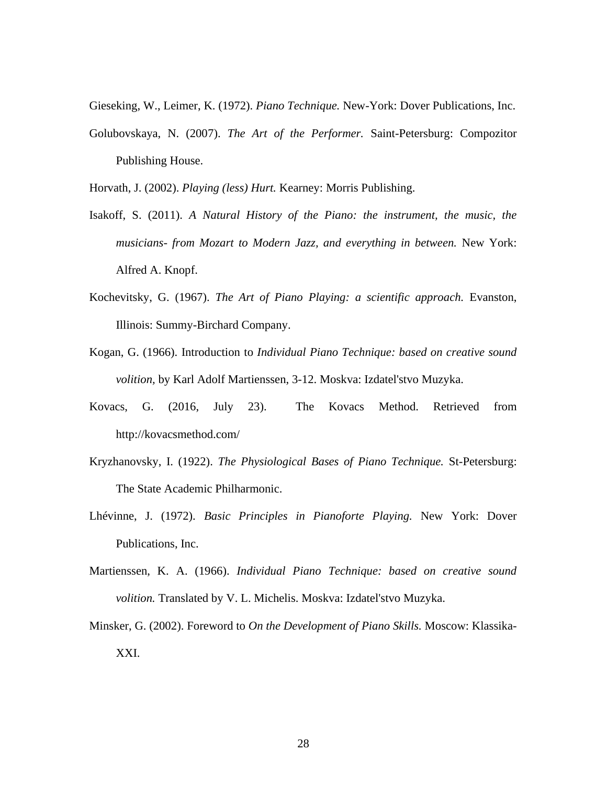Gieseking, W., Leimer, K. (1972). *Piano Technique.* New-York: Dover Publications, Inc.

Golubovskaya, N. (2007). *The Art of the Performer.* Saint-Petersburg: Compozitor Publishing House.

Horvath, J. (2002). *Playing (less) Hurt.* Kearney: Morris Publishing.

- Isakoff, S. (2011). *A Natural History of the Piano: the instrument, the music, the musicians- from Mozart to Modern Jazz, and everything in between.* New York: Alfred A. Knopf.
- Kochevitsky, G. (1967). *The Art of Piano Playing: a scientific approach.* Evanston, Illinois: Summy-Birchard Company.
- Kogan, G. (1966). Introduction to *Individual Piano Technique: based on creative sound volition,* by Karl Adolf Martienssen, 3-12. Moskva: Izdatel'stvo Muzyka.
- Kovacs, G. (2016, July 23). The Kovacs Method. Retrieved from http://kovacsmethod.com/
- Kryzhanovsky, I. (1922). *The Physiological Bases of Piano Technique.* St-Petersburg: The State Academic Philharmonic.
- Lhévinne, J. (1972). *Basic Principles in Pianoforte Playing.* New York: Dover Publications, Inc.
- Martienssen, K. A. (1966). *Individual Piano Technique: based on creative sound volition.* Translated by V. L. Michelis. Moskva: Izdatel'stvo Muzyka.
- Minsker, G. (2002). Foreword to *On the Development of Piano Skills.* Moscow: Klassika-XXI.